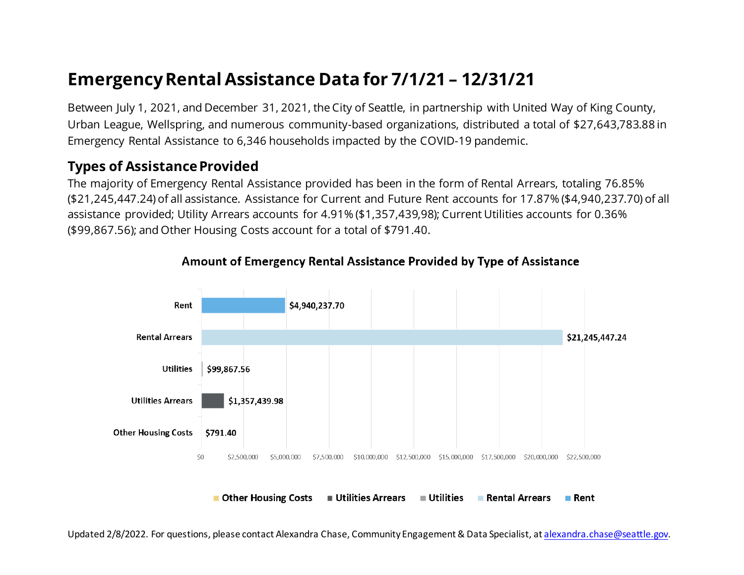# **Emergency Rental Assistance Data for 7/1/21 – 12/31/21**

Between July 1, 2021, and December 31, 2021, the City of Seattle, in partnership with United Way of King County, Urban League, Wellspring, and numerous community-based organizations, distributed a total of \$27,643,783.88 in Emergency Rental Assistance to 6,346 households impacted by the COVID-19 pandemic.

## **Types of Assistance Provided**

The majority of Emergency Rental Assistance provided has been in the form of Rental Arrears, totaling 76.85% (\$21,245,447.24) of all assistance. Assistance for Current and Future Rent accounts for 17.87% (\$4,940,237.70) of all assistance provided; Utility Arrears accounts for 4.91% (\$1,357,439,98); Current Utilities accounts for 0.36% (\$99,867.56); and Other Housing Costs account for a total of \$791.40.



#### Amount of Emergency Rental Assistance Provided by Type of Assistance

Updated 2/8/2022. For questions, please contact Alexandra Chase, Community Engagement & Data Specialist, a[t alexandra.chase@seattle.gov](mailto:alexandra.chase@seattle.gov).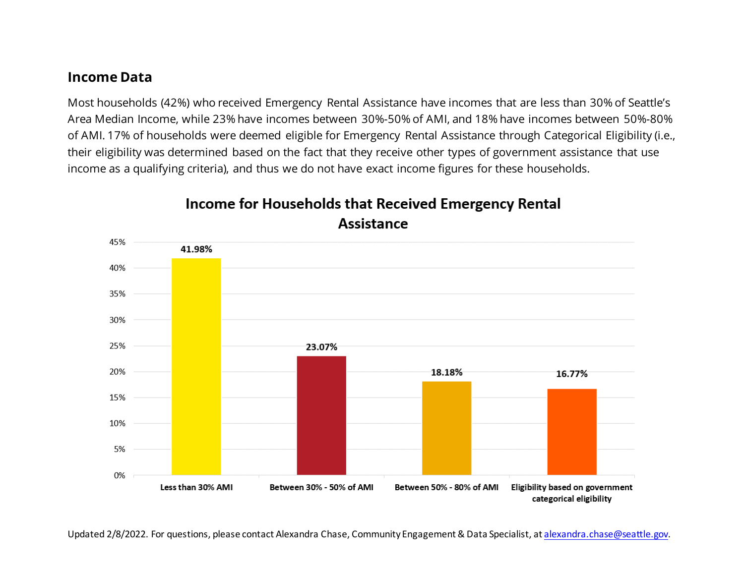#### **Income Data**

Most households (42%) who received Emergency Rental Assistance have incomes that are less than 30% of Seattle's Area Median Income, while 23% have incomes between 30%-50% of AMI, and 18% have incomes between 50%-80% of AMI. 17% of households were deemed eligible for Emergency Rental Assistance through Categorical Eligibility (i.e., their eligibility was determined based on the fact that they receive other types of government assistance that use income as a qualifying criteria), and thus we do not have exact income figures for these households.



## Income for Households that Received Emergency Rental **Assistance**

Updated 2/8/2022. For questions, please contact Alexandra Chase, Community Engagement & Data Specialist, a[t alexandra.chase@seattle.gov](mailto:alexandra.chase@seattle.gov).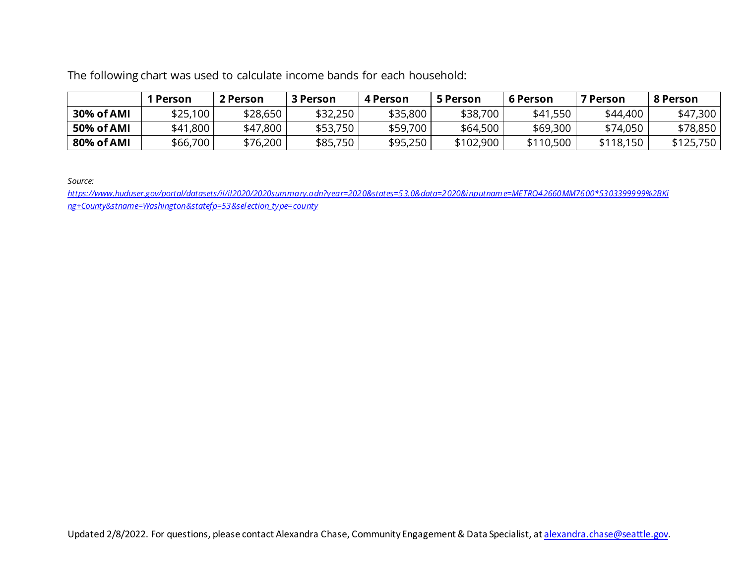The following chart was used to calculate income bands for each household:

|            | I Person | 2 Person | 3 Person | 4 Person | 5 Person  | 6 Person  | <b>7 Person</b> | 8 Person  |
|------------|----------|----------|----------|----------|-----------|-----------|-----------------|-----------|
| 30% of AMI | \$25,100 | \$28,650 | \$32,250 | \$35,800 | \$38,700  | \$41,550  | \$44,400        | \$47,300  |
| 50% of AMI | \$41,800 | \$47,800 | \$53,750 | \$59,700 | \$64,500  | \$69,300  | \$74,050        | \$78,850  |
| 80% of AMI | \$66,700 | \$76,200 | \$85,750 | \$95,250 | \$102,900 | \$110,500 | \$118,150       | \$125,750 |

*Source:* 

*[https://www.huduser.gov/portal/datasets/il/il2020/2020summary.odn?year=2020&states=53.0&data=2020&inputname=METRO42660MM7600\\*5303399999%2BKi](https://www.huduser.gov/portal/datasets/il/il2020/2020summary.odn?year=2020&states=53.0&data=2020&inputname=METRO42660MM7600*5303399999%2BKing+County&stname=Washington&statefp=53&selection_type=county) [ng+County&stname=Washington&statefp=53&selection\\_type=county](https://www.huduser.gov/portal/datasets/il/il2020/2020summary.odn?year=2020&states=53.0&data=2020&inputname=METRO42660MM7600*5303399999%2BKing+County&stname=Washington&statefp=53&selection_type=county)*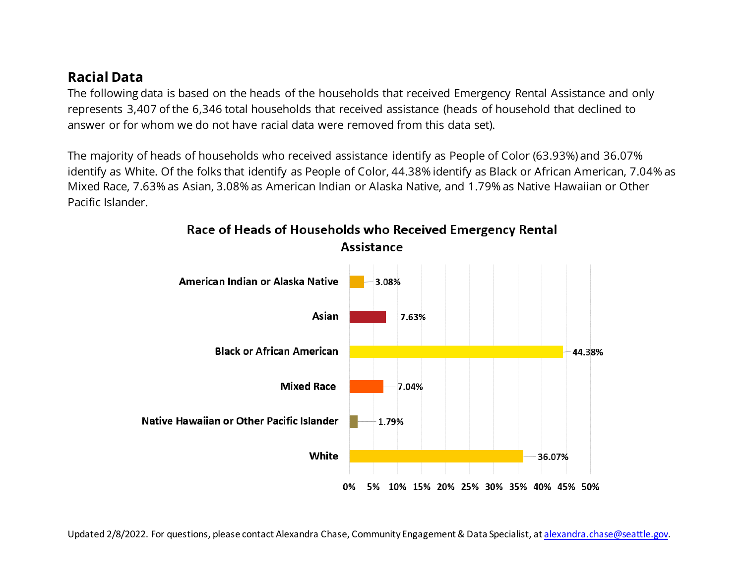## **Racial Data**

The following data is based on the heads of the households that received Emergency Rental Assistance and only represents 3,407 of the 6,346 total households that received assistance (heads of household that declined to answer or for whom we do not have racial data were removed from this data set).

The majority of heads of households who received assistance identify as People of Color (63.93%) and 36.07% identify as White. Of the folks that identify as People of Color, 44.38% identify as Black or African American, 7.04% as Mixed Race, 7.63% as Asian, 3.08% as American Indian or Alaska Native, and 1.79% as Native Hawaiian or Other Pacific Islander.



#### Race of Heads of Households who Received Emergency Rental **Assistance**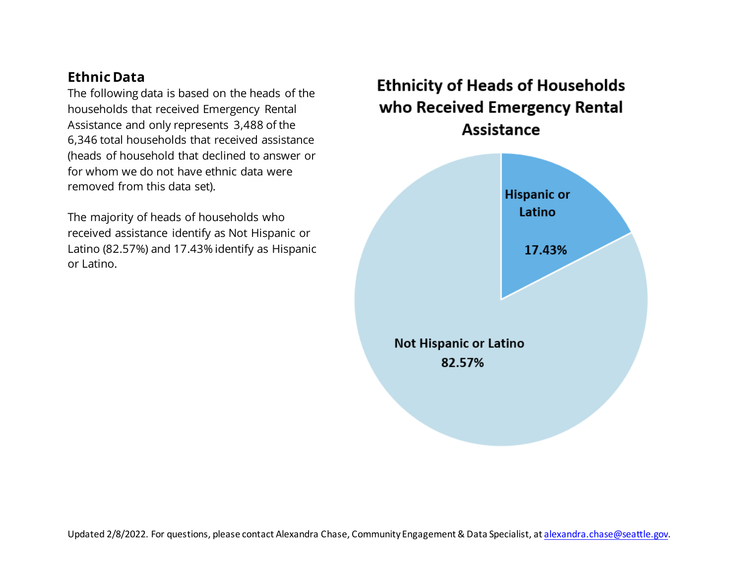## **Ethnic Data**

The following data is based on the heads of the households that received Emergency Rental Assistance and only represents 3,488 of the 6,346 total households that received assistance (heads of household that declined to answer or for whom we do not have ethnic data were removed from this data set).

The majority of heads of households who received assistance identify as Not Hispanic or Latino (82.57%) and 17.43% identify as Hispanic or Latino.

**Ethnicity of Heads of Households** who Received Emergency Rental **Assistance** 

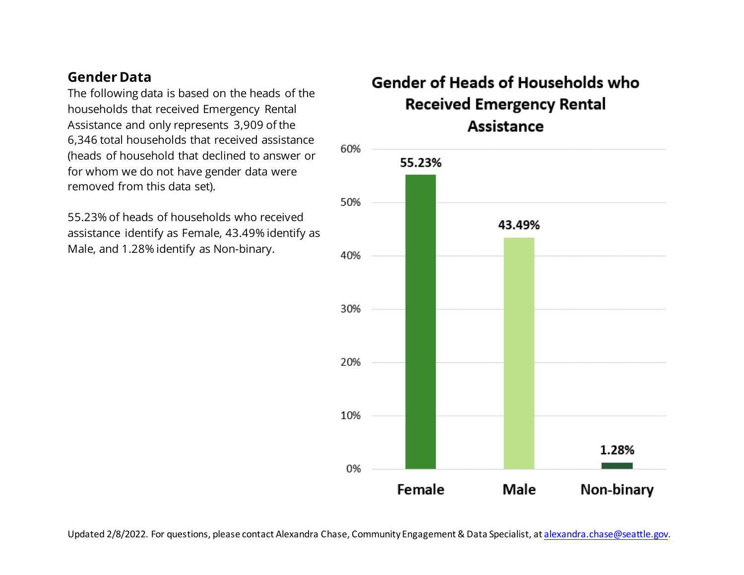### **Gender Data**

The following data is based on the heads of the households that received Emergency Rental Assistance and only represents 3,909 of the 6,346 total households that received assistance (heads of household that declined to answer or for whom we do not have gender data were removed from this data set).

55.23% of heads of households who received assistance identify as Female, 43.49% identify as Male, and 1.28% identify as Non-binary.

# Gender of Heads of Households who **Received Emergency Rental** Assistance